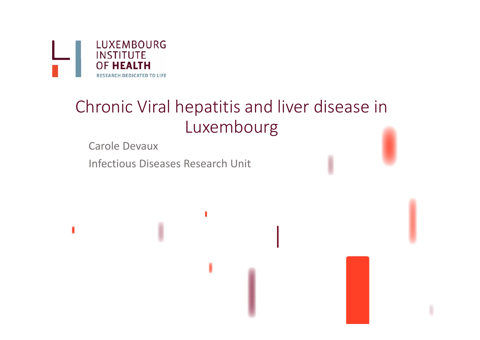

# Chronic Viral hepatitis and liver disease in Luxembourg

Carole Devaux

Infectious Diseases Research Unit

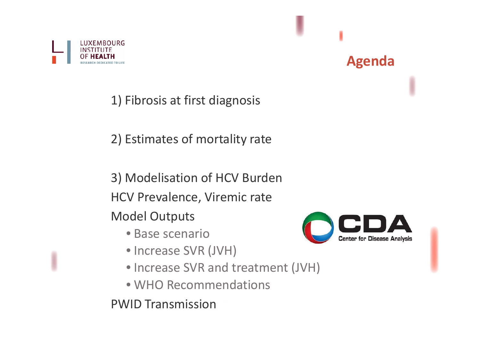

1) Fibrosis at first diagnosis

2) Estimates of mortality rate

3) Modelisation of HCV Burden HCV Prevalence, Viremic rate Model Outputs

- Base scenario
- Increase SVR (JVH)
- Increase SVR and treatment (JVH)
- WHO Recommendations

PWID Transmission



**Agenda**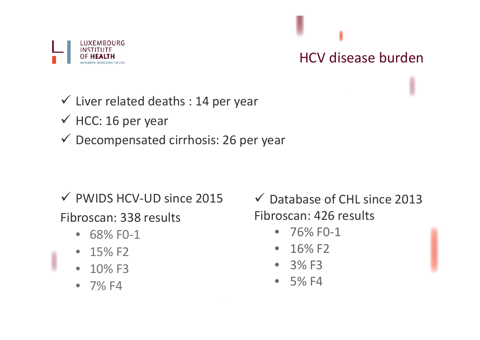

# HCV disease burden

#### $\checkmark$  Liver related deaths : 14 per year

- $\checkmark$  HCC: 16 per year
- $\checkmark$  Decompensated cirrhosis: 26 per year

- PWIDS HCV‐UD since 2015 Fibroscan: 338 results
	- $\bullet$ ● 68% F0-1
	- • $-15\%$  F2
	- $\bullet$ • 10% F3
	- 7% F4

 Database of CHL since 2013 Fibroscan: 426 results

- $\bullet$ ● 76% F0-1
- $\bullet$ • 16% F2
- 3% F3
- 5% F4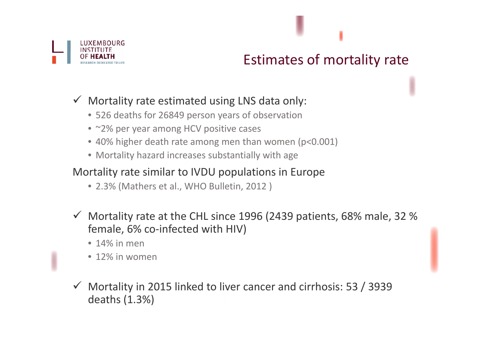

#### Estimates of mortality rate

#### $\checkmark$  Mortality rate estimated using LNS data only:

- 526 deaths for 26849 person years of observation
- ~2% per year among HCV positive cases
- 40% higher death rate among men than women (p<0.001)
- Mortality hazard increases substantially with age

#### Mortality rate similar to IVDU populations in Europe

- 2.3% (Mathers et al., WHO Bulletin, 2012 )
- $\checkmark$  Mortality rate at the CHL since 1996 (2439 patients, 68% male, 32 % female, 6% co‐infected with HIV)
	- 14% in men
	- 12% in women
- $\checkmark$  Mortality in 2015 linked to liver cancer and cirrhosis: 53 / 3939 deaths (1.3%)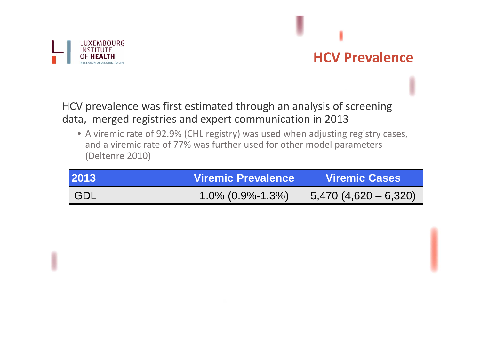

# **HCV Prevalence**

HCV prevalence was first estimated through an analysis of screening data, merged registries and expert communication in 2013

• A viremic rate of 92.9% (CHL registry) was used when adjusting registry cases, and <sup>a</sup> viremic rate of 77% was further used for other model parameters (Deltenre 2010)

| 2013       | <b>Viremic Prevalence</b> | <b>Viremic Cases</b>      |
|------------|---------------------------|---------------------------|
| <b>GDL</b> | $1.0\%$ (0.9%-1.3%)       | $5,470$ (4,620 $-6,320$ ) |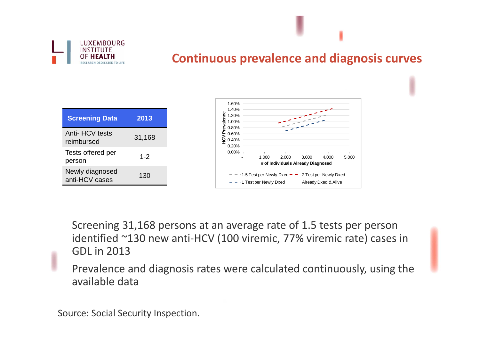

#### **Continuous prevalence and diagnosis curves**

| <b>Screening Data</b>             | 2013    |
|-----------------------------------|---------|
| Anti- HCV tests<br>reimbursed     | 31,168  |
| Tests offered per<br>person       | $1 - 2$ |
| Newly diagnosed<br>anti-HCV cases | 130     |
|                                   |         |



Screening 31,168 persons at an average rate of 1.5 tests per person identified ~130 new anti‐HCV (100 viremic, 77% viremic rate) cases in GDL in 2013

Prevalence and diagnosis rates were calculated continuously, using the available data

Source: Social Security Inspection.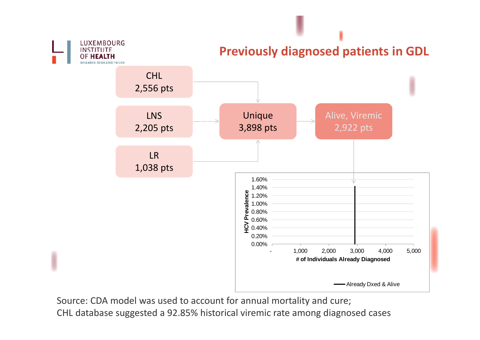

**Previously diagnosed patients in GDL**



Source: CDA model was used to account for annual mortality and cure; CHL database suggested <sup>a</sup> 92.85% historical viremic rate among diagnosed cases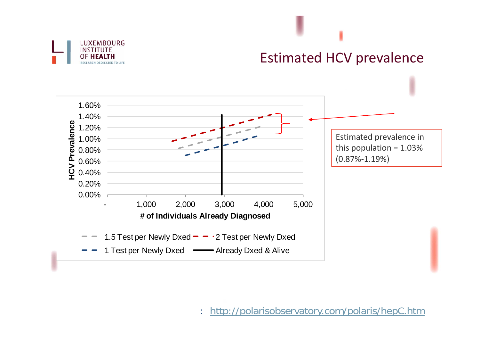

### Estimated HCV prevalence



: http://polarisobservatory.com/polaris/hepC.htm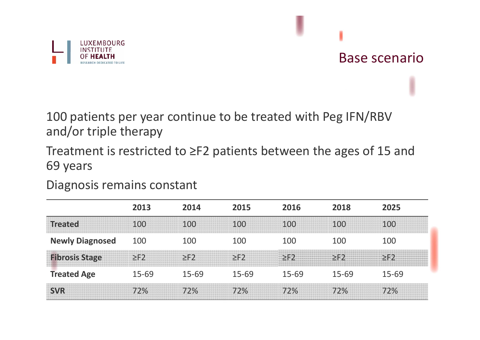

#### Base scenario

100 patients per year continue to be treated with Peg IFN/RBV and/or triple therapy

Treatment is restricted to ≥F2 patients between the ages of 15 and 69 years

Diagnosis remains constant

|                        | 2013      | 2014      | 2015        | 2016      | 2018      | 2025      |
|------------------------|-----------|-----------|-------------|-----------|-----------|-----------|
| <b>Treated</b>         | 100       | 100       | <u> 100</u> | 100       | 100       | 100       |
| <b>Newly Diagnosed</b> | 100       | 100       | 100         | 100       | 100       | 100       |
| <b>Fibrosis Stage</b>  | $> F$ ?   | $\geq$ F2 |             |           |           |           |
| <b>Treated Age</b>     | $15 - 69$ | $15 - 69$ | $15 - 69$   | $15 - 69$ | $15 - 69$ | $15 - 69$ |
|                        | 72%       | 72%       | 72%         |           | 72%       |           |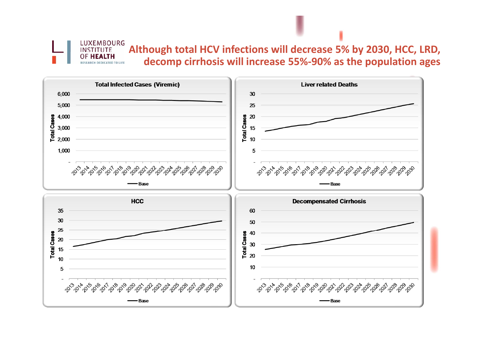**Although total HCV infections will decrease 5% by 2030, HCC, LRD, decomp cirrhosis will increase 55%‐90% as the population ages**



LUXEMBOURG **INSTITUTE OF HEALTH RESEARCH DEDICATED TO LIFE**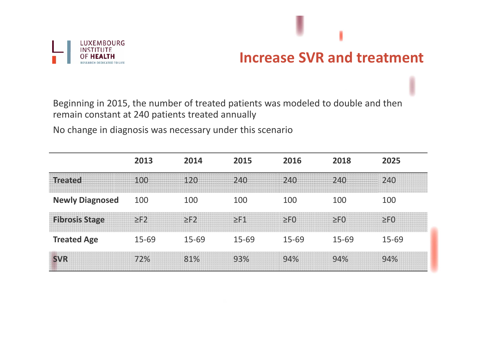

#### **Increase SVR and treatment**

Beginning in 2015, the number of treated patients was modeled to double and then remain constant at 240 patients treated annually

No change in diagnosis was necessary under this scenario

|                        | 2013      | 2014      | 2015      | 2016      | 2018      | 2025        |
|------------------------|-----------|-----------|-----------|-----------|-----------|-------------|
| Treated                |           |           | 1240      | 240       |           | 240         |
| <b>Newly Diagnosed</b> | 100       | 100       | 100       | 100       | 100       | 100         |
| <b>Fibrosis Stage</b>  | $\geq$ F2 | $\geq$ F2 | $\geq$ F1 | $\geq$ FO | $\geq$ FO | $\Sigma F0$ |
| <b>Treated Age</b>     | $15 - 69$ | 15-69     | 15-69     | $15 - 69$ | $15 - 69$ | $15 - 69$   |
| <b>SVR</b>             | 72%       | 81%       | 93%       | 94%       | 94%       | 94%         |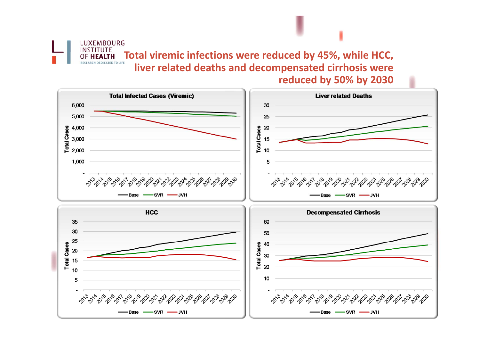**Total viremic infections were reduced by 45%, while HCC, liver related deaths and decompensated cirrhosis were reduced by 50% by 2030**

LUXEMBOURG INSTITUTE **OF HEALTH RESEARCH DEDICATED TO LIFE** 

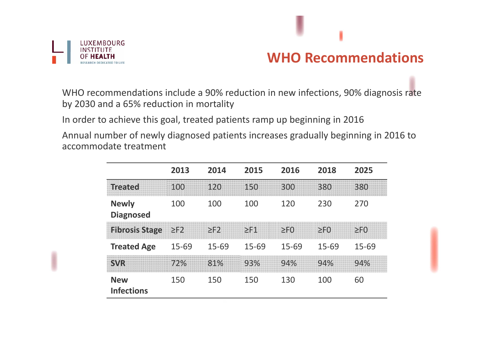

# **WHO Recommendations**

WHO recommendations include a 90% reduction in new infections, 90% diagnosis rate by 2030 and <sup>a</sup> 65% reduction in mortality

In order to achieve this goal, treated patients ramp up beginning in 2016

Annual number of newly diagnosed patients increases gradually beginning in 2016 to accommodate treatment

|                                  | 2013      | 2014   | 2015   | 2016         | 2018           | 2025           |
|----------------------------------|-----------|--------|--------|--------------|----------------|----------------|
| <b>Treated</b>                   | I≞        |        | 150    | <b>BAODA</b> | 380            | 380            |
| <b>Newly</b><br><b>Diagnosed</b> | 100       | 100    | 100    | 120          | 230            | 270            |
| <b>Fibrosis Stage</b>            | $\geq$ F2 | $>$ F2 | $>$ F1 | >F()         | $>$ F $\Omega$ | $>$ F $\Omega$ |
| <b>Treated Age</b>               | 15-69     | 15-69  | 15-69  | 15-69        | $15 - 69$      | $15 - 69$      |
| <b>SMR</b>                       | 12%       | 81%    | 93%    | 94%          | 94%            | 94%            |
| <b>New</b><br><b>Infections</b>  | 150       | 150    | 150    | 130          | 100            | 60             |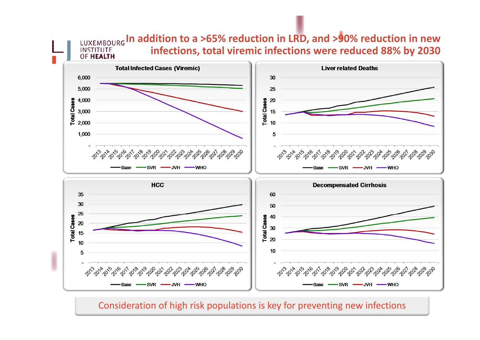**In addition to a >65% reduction in LRD, and >90% reduction in new infections, total viremic infections were reduced 88% by 2030**



**INSTITUTE** 

Consideration of high risk populations is key for preventing new infections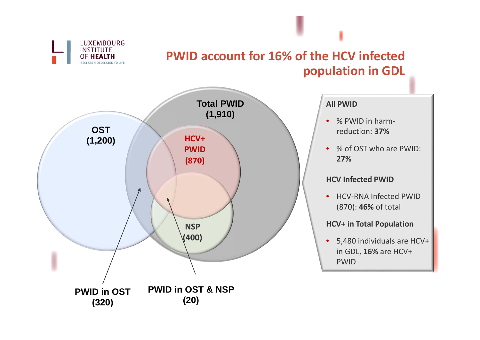

#### **PWID account for 16% of the HCV infected population in GDL**

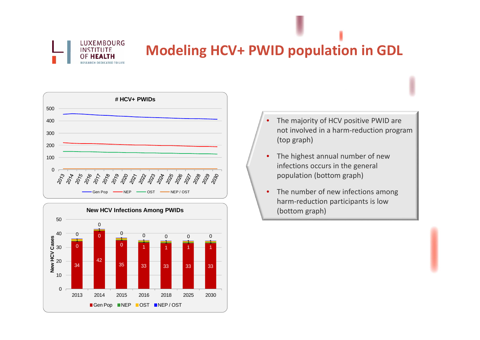

# **Modeling HCV+ PWID population in GDL**





- •• The majority of HCV positive PWID are not involved in <sup>a</sup> harm‐reduction program (top graph)
- •• The highest annual number of new infections occurs in the general population (bottom graph)
- •• The number of new infections among harm‐reduction participants is low (bottom graph)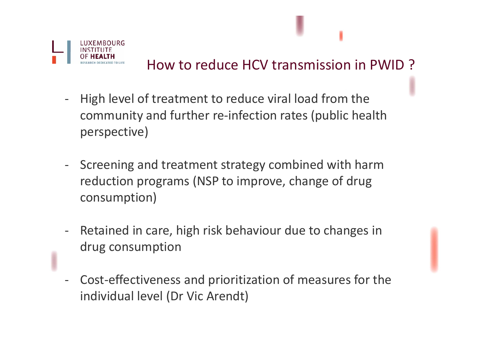

# How to reduce HCV transmission in PWID ?

- High level of treatment to reduce viral load from the community and further re‐infection rates (public health perspective)
- $\blacksquare$  Screening and treatment strategy combined with harm reduction programs (NSP to improve, change of drug consumption)
- Retained in care, high risk behaviour due to changes in drug consumption
- Cost‐effectiveness and prioritization of measures for the individual level (Dr Vic Arendt)